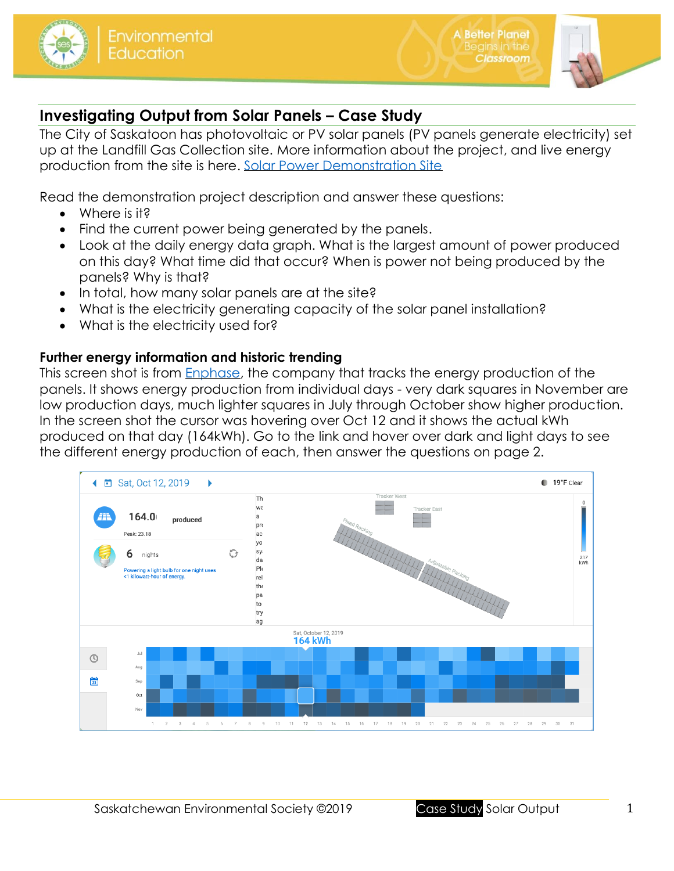

**A Better Planet** 

Classroom

# **Investigating Output from Solar Panels – Case Study**

The City of Saskatoon has photovoltaic or PV solar panels (PV panels generate electricity) set up at the Landfill Gas Collection site. More information about the project, and live energy production from the site is here. [Solar Power Demonstration Site](https://www.saskatoon.ca/services-residents/power-water/saskatoon-light-power/solar-power-demonstration-site-website)

Read the demonstration project description and answer these questions:

- Where is it?
- Find the current power being generated by the panels.
- Look at the daily energy data graph. What is the largest amount of power produced on this day? What time did that occur? When is power not being produced by the panels? Why is that?
- In total, how many solar panels are at the site?
- What is the electricity generating capacity of the solar panel installation?
- What is the electricity used for?

## **Further energy information and historic trending**

This screen shot is from [Enphase,](https://enlighten.enphaseenergy.com/pv/public_systems/cd6Q1103397/overview) the company that tracks the energy production of the panels. It shows energy production from individual days - very dark squares in November are low production days, much lighter squares in July through October show higher production. In the screen shot the cursor was hovering over Oct 12 and it shows the actual kWh produced on that day (164kWh). Go to the link and hover over dark and light days to see the different energy production of each, then answer the questions on page 2.

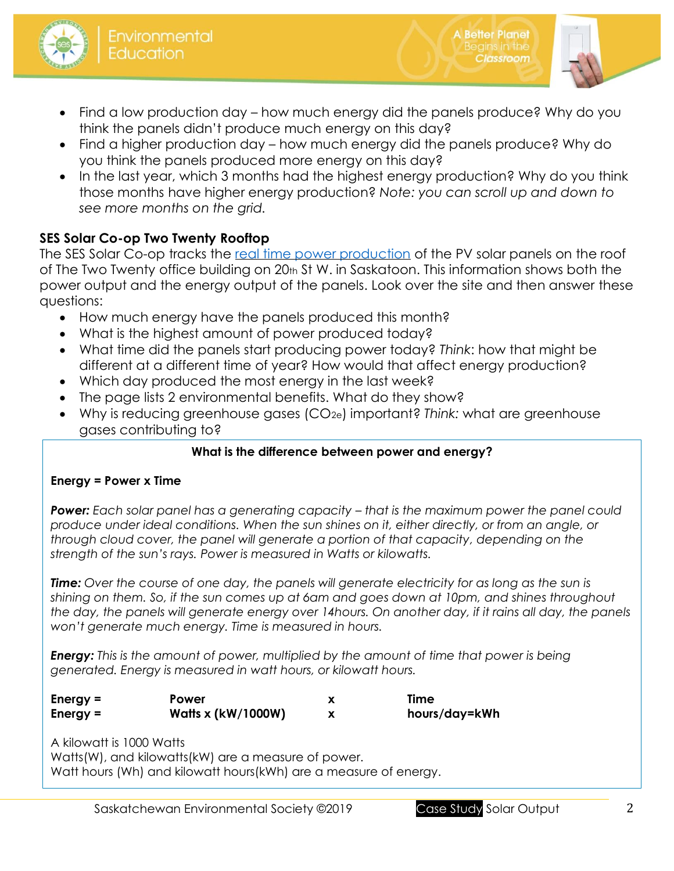

- Find a low production day how much energy did the panels produce? Why do you think the panels didn't produce much energy on this day?
- Find a higher production day how much energy did the panels produce? Why do you think the panels produced more energy on this day?
- In the last year, which 3 months had the highest energy production? Why do you think those months have higher energy production? *Note: you can scroll up and down to see more months on the grid.*

## **SES Solar Co-op Two Twenty Rooftop**

The SES Solar Co-op tracks the [real time power production](https://monitoringpublic.solaredge.com/solaredge-web/p/kiosk?guid=0bcf89c5-bd37-4946-8e04-4d51ff09e9c1&locale=en_US) of the PV solar panels on the roof of The Two Twenty office building on 20th St W. in Saskatoon. This information shows both the power output and the energy output of the panels. Look over the site and then answer these questions:

- How much energy have the panels produced this month?
- What is the highest amount of power produced today?
- What time did the panels start producing power today? *Think*: how that might be different at a different time of year? How would that affect energy production?
- Which day produced the most energy in the last week?
- The page lists 2 environmental benefits. What do they show?
- Why is reducing greenhouse gases (CO2e) important? *Think:* what are greenhouse gases contributing to?

#### **What is the difference between power and energy?**

#### **Energy = Power x Time**

**Power:** Each solar panel has a generating capacity – that is the maximum power the panel could *produce under ideal conditions. When the sun shines on it, either directly, or from an angle, or through cloud cover, the panel will generate a portion of that capacity, depending on the strength of the sun's rays. Power is measured in Watts or kilowatts.*

*Time: Over the course of one day, the panels will generate electricity for as long as the sun is shining on them. So, if the sun comes up at 6am and goes down at 10pm, and shines throughout the day, the panels will generate energy over 14hours. On another day, if it rains all day, the panels won't generate much energy. Time is measured in hours.*

*Energy: This is the amount of power, multiplied by the amount of time that power is being generated. Energy is measured in watt hours, or kilowatt hours.*

| Energy $=$ | Power                     | Time          |
|------------|---------------------------|---------------|
| Energy $=$ | <b>Watts x (kW/1000W)</b> | hours/day=kWh |

A kilowatt is 1000 Watts Watts(W), and kilowatts(kW) are a measure of power. Watt hours (Wh) and kilowatt hours(kWh) are a measure of energy. **A Better Planet** 

Classroom